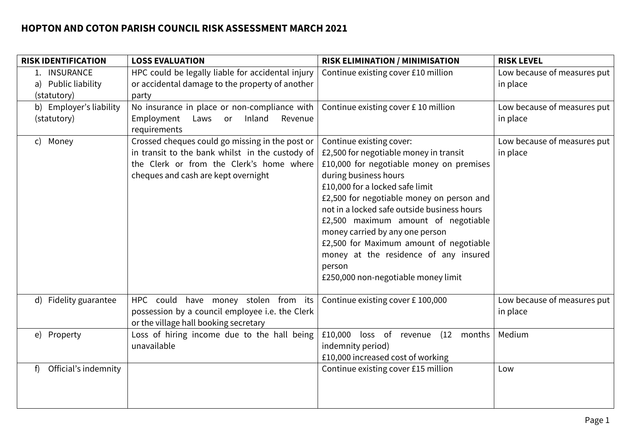| <b>RISK IDENTIFICATION</b>                         | <b>LOSS EVALUATION</b>                                                                                                                                                                | <b>RISK ELIMINATION / MINIMISATION</b>                                                                                                                                                                                                                                                                                                                                                                                                                                                | <b>RISK LEVEL</b>                       |
|----------------------------------------------------|---------------------------------------------------------------------------------------------------------------------------------------------------------------------------------------|---------------------------------------------------------------------------------------------------------------------------------------------------------------------------------------------------------------------------------------------------------------------------------------------------------------------------------------------------------------------------------------------------------------------------------------------------------------------------------------|-----------------------------------------|
| 1. INSURANCE<br>a) Public liability<br>(statutory) | HPC could be legally liable for accidental injury<br>or accidental damage to the property of another<br>party                                                                         | Continue existing cover £10 million                                                                                                                                                                                                                                                                                                                                                                                                                                                   | Low because of measures put<br>in place |
| b) Employer's liability<br>(statutory)             | No insurance in place or non-compliance with<br>Inland<br>Employment<br>Laws or<br>Revenue<br>requirements                                                                            | Continue existing cover £10 million                                                                                                                                                                                                                                                                                                                                                                                                                                                   | Low because of measures put<br>in place |
| Money<br>$\mathsf{C}$                              | Crossed cheques could go missing in the post or<br>in transit to the bank whilst in the custody of<br>the Clerk or from the Clerk's home where<br>cheques and cash are kept overnight | Continue existing cover:<br>£2,500 for negotiable money in transit<br>£10,000 for negotiable money on premises<br>during business hours<br>£10,000 for a locked safe limit<br>£2,500 for negotiable money on person and<br>not in a locked safe outside business hours<br>£2,500 maximum amount of negotiable<br>money carried by any one person<br>£2,500 for Maximum amount of negotiable<br>money at the residence of any insured<br>person<br>£250,000 non-negotiable money limit | Low because of measures put<br>in place |
| d) Fidelity guarantee                              | HPC could have money stolen from its<br>possession by a council employee i.e. the Clerk<br>or the village hall booking secretary                                                      | Continue existing cover £100,000                                                                                                                                                                                                                                                                                                                                                                                                                                                      | Low because of measures put<br>in place |
| e) Property                                        | Loss of hiring income due to the hall being<br>unavailable                                                                                                                            | £10,000<br>loss of<br>(12)<br>revenue<br>months<br>indemnity period)<br>£10,000 increased cost of working                                                                                                                                                                                                                                                                                                                                                                             | Medium                                  |
| Official's indemnity<br>f                          |                                                                                                                                                                                       | Continue existing cover £15 million                                                                                                                                                                                                                                                                                                                                                                                                                                                   | Low                                     |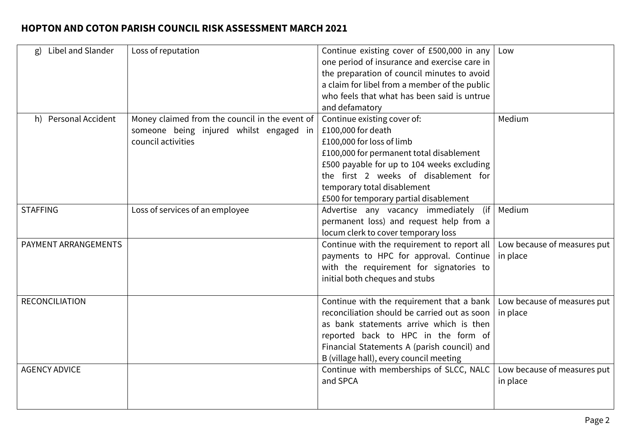| Libel and Slander<br>g) | Loss of reputation                             | Continue existing cover of £500,000 in any    | Low                         |
|-------------------------|------------------------------------------------|-----------------------------------------------|-----------------------------|
|                         |                                                | one period of insurance and exercise care in  |                             |
|                         |                                                | the preparation of council minutes to avoid   |                             |
|                         |                                                | a claim for libel from a member of the public |                             |
|                         |                                                | who feels that what has been said is untrue   |                             |
|                         |                                                | and defamatory                                |                             |
| h) Personal Accident    | Money claimed from the council in the event of | Continue existing cover of:                   | Medium                      |
|                         | someone being injured whilst engaged in        | £100,000 for death                            |                             |
|                         | council activities                             | £100,000 for loss of limb                     |                             |
|                         |                                                | £100,000 for permanent total disablement      |                             |
|                         |                                                | £500 payable for up to 104 weeks excluding    |                             |
|                         |                                                | the first 2 weeks of disablement for          |                             |
|                         |                                                | temporary total disablement                   |                             |
|                         |                                                | £500 for temporary partial disablement        |                             |
| <b>STAFFING</b>         | Loss of services of an employee                | Advertise any vacancy immediately<br>(ii      | Medium                      |
|                         |                                                | permanent loss) and request help from a       |                             |
|                         |                                                | locum clerk to cover temporary loss           |                             |
| PAYMENT ARRANGEMENTS    |                                                | Continue with the requirement to report all   | Low because of measures put |
|                         |                                                | payments to HPC for approval. Continue        | in place                    |
|                         |                                                | with the requirement for signatories to       |                             |
|                         |                                                | initial both cheques and stubs                |                             |
|                         |                                                |                                               |                             |
| <b>RECONCILIATION</b>   |                                                | Continue with the requirement that a bank     | Low because of measures put |
|                         |                                                | reconciliation should be carried out as soon  | in place                    |
|                         |                                                | as bank statements arrive which is then       |                             |
|                         |                                                | reported back to HPC in the form of           |                             |
|                         |                                                | Financial Statements A (parish council) and   |                             |
|                         |                                                | B (village hall), every council meeting       |                             |
| <b>AGENCY ADVICE</b>    |                                                | Continue with memberships of SLCC, NALC       | Low because of measures put |
|                         |                                                | and SPCA                                      | in place                    |
|                         |                                                |                                               |                             |
|                         |                                                |                                               |                             |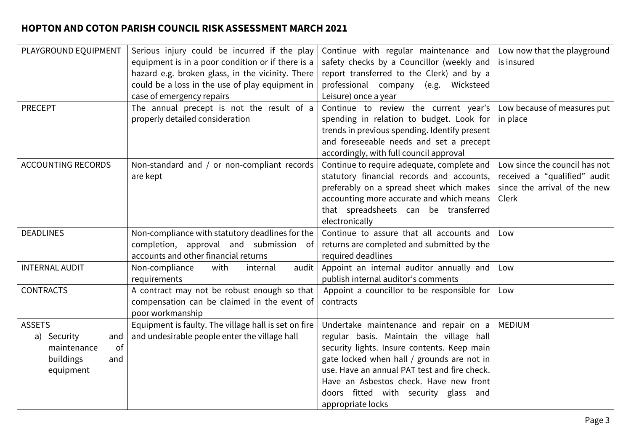| PLAYGROUND EQUIPMENT      | Serious injury could be incurred if the play         | Continue with regular maintenance and                               | Low now that the playground   |
|---------------------------|------------------------------------------------------|---------------------------------------------------------------------|-------------------------------|
|                           | equipment is in a poor condition or if there is a    | safety checks by a Councillor (weekly and $\vert$ is insured        |                               |
|                           | hazard e.g. broken glass, in the vicinity. There     | report transferred to the Clerk) and by a                           |                               |
|                           | could be a loss in the use of play equipment in      | professional company (e.g. Wicksteed                                |                               |
|                           | case of emergency repairs                            | Leisure) once a year                                                |                               |
| <b>PRECEPT</b>            | The annual precept is not the result of a            | Continue to review the current year's   Low because of measures put |                               |
|                           | properly detailed consideration                      | spending in relation to budget. Look for                            | in place                      |
|                           |                                                      | trends in previous spending. Identify present                       |                               |
|                           |                                                      | and foreseeable needs and set a precept                             |                               |
|                           |                                                      | accordingly, with full council approval                             |                               |
| <b>ACCOUNTING RECORDS</b> | Non-standard and / or non-compliant records          | Continue to require adequate, complete and                          | Low since the council has not |
|                           | are kept                                             | statutory financial records and accounts,                           | received a "qualified" audit  |
|                           |                                                      | preferably on a spread sheet which makes                            | since the arrival of the new  |
|                           |                                                      | accounting more accurate and which means                            | Clerk                         |
|                           |                                                      | that spreadsheets can be transferred                                |                               |
|                           |                                                      | electronically                                                      |                               |
| <b>DEADLINES</b>          | Non-compliance with statutory deadlines for the      | Continue to assure that all accounts and                            | Low                           |
|                           | completion, approval and submission of               | returns are completed and submitted by the                          |                               |
|                           | accounts and other financial returns                 | required deadlines                                                  |                               |
| <b>INTERNAL AUDIT</b>     | Non-compliance<br>with<br>internal<br>audit          | Appoint an internal auditor annually and                            | Low                           |
|                           | requirements                                         | publish internal auditor's comments                                 |                               |
| <b>CONTRACTS</b>          | A contract may not be robust enough so that          | Appoint a councillor to be responsible for                          | Low                           |
|                           | compensation can be claimed in the event of          | contracts                                                           |                               |
|                           | poor workmanship                                     |                                                                     |                               |
| <b>ASSETS</b>             | Equipment is faulty. The village hall is set on fire | Undertake maintenance and repair on a                               | <b>MEDIUM</b>                 |
| a) Security<br>and        | and undesirable people enter the village hall        | regular basis. Maintain the village hall                            |                               |
| of<br>maintenance         |                                                      | security lights. Insure contents. Keep main                         |                               |
| buildings<br>and          |                                                      | gate locked when hall / grounds are not in                          |                               |
| equipment                 |                                                      | use. Have an annual PAT test and fire check.                        |                               |
|                           |                                                      | Have an Asbestos check. Have new front                              |                               |
|                           |                                                      | doors fitted with security glass and                                |                               |
|                           |                                                      | appropriate locks                                                   |                               |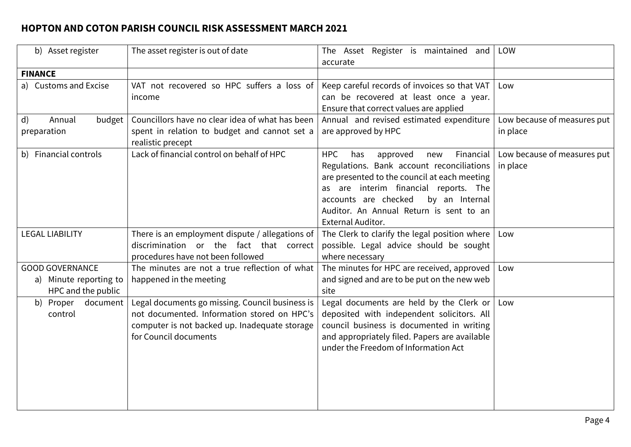| b) Asset register                                                      | The asset register is out of date                                                                                                                                        | The Asset Register is maintained and<br>accurate                                                                                                                                                                                                                                                  | LOW                                     |
|------------------------------------------------------------------------|--------------------------------------------------------------------------------------------------------------------------------------------------------------------------|---------------------------------------------------------------------------------------------------------------------------------------------------------------------------------------------------------------------------------------------------------------------------------------------------|-----------------------------------------|
| <b>FINANCE</b>                                                         |                                                                                                                                                                          |                                                                                                                                                                                                                                                                                                   |                                         |
| a) Customs and Excise                                                  | VAT not recovered so HPC suffers a loss of<br>income                                                                                                                     | Keep careful records of invoices so that VAT<br>can be recovered at least once a year.<br>Ensure that correct values are applied                                                                                                                                                                  | Low                                     |
| Annual<br>$\mathsf{d}$<br>budget<br>preparation                        | Councillors have no clear idea of what has been<br>spent in relation to budget and cannot set a<br>realistic precept                                                     | Annual and revised estimated expenditure<br>are approved by HPC                                                                                                                                                                                                                                   | Low because of measures put<br>in place |
| b) Financial controls                                                  | Lack of financial control on behalf of HPC                                                                                                                               | <b>HPC</b><br>Financial<br>approved<br>has<br>new<br>Regulations. Bank account reconciliations<br>are presented to the council at each meeting<br>as are interim financial reports. The<br>accounts are checked<br>by an Internal<br>Auditor. An Annual Return is sent to an<br>External Auditor. | Low because of measures put<br>in place |
| <b>LEGAL LIABILITY</b>                                                 | There is an employment dispute / allegations of<br>discrimination or the fact that correct<br>procedures have not been followed                                          | The Clerk to clarify the legal position where<br>possible. Legal advice should be sought<br>where necessary                                                                                                                                                                                       | Low                                     |
| <b>GOOD GOVERNANCE</b><br>a) Minute reporting to<br>HPC and the public | The minutes are not a true reflection of what<br>happened in the meeting                                                                                                 | The minutes for HPC are received, approved<br>and signed and are to be put on the new web<br>site                                                                                                                                                                                                 | Low                                     |
| b) Proper<br>document<br>control                                       | Legal documents go missing. Council business is<br>not documented. Information stored on HPC's<br>computer is not backed up. Inadequate storage<br>for Council documents | Legal documents are held by the Clerk or<br>deposited with independent solicitors. All<br>council business is documented in writing<br>and appropriately filed. Papers are available<br>under the Freedom of Information Act                                                                      | Low                                     |